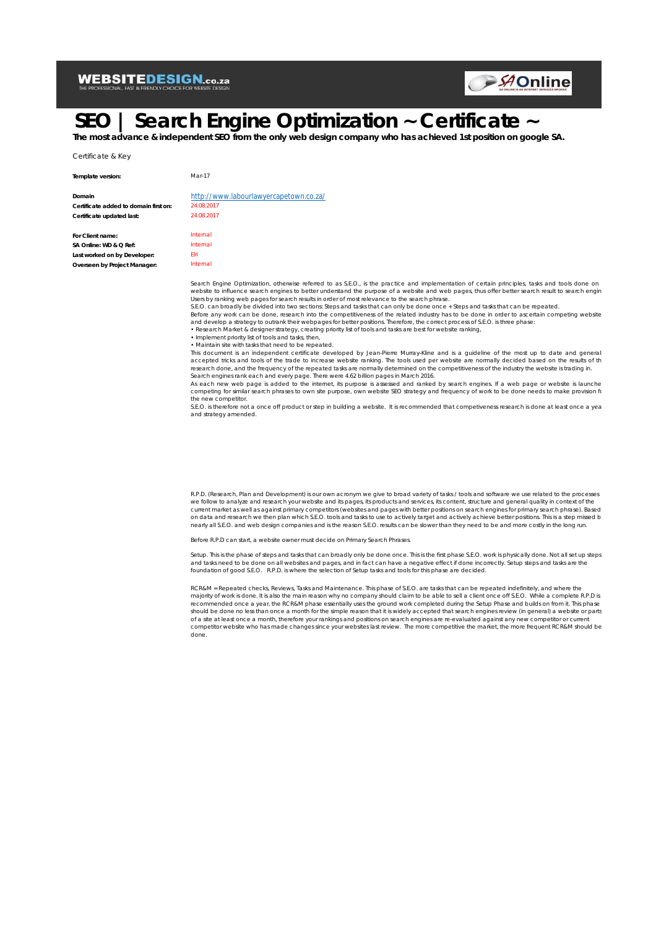### **WEBSITEDESIGN.co.za**



# **SEO | Search Engine Optimization ~ Certificate ~**

**The most advance & independent SEO from the only web design company who has achieved 1st position on google SA.**

Certificate & Key

**Template version:** Mar-17

| Domain                                |  |
|---------------------------------------|--|
| Certificate added to domain first on: |  |
| Certificate updated last:             |  |
|                                       |  |

**For Client name:** Internal **SA Online: WD & Q Ref:** Internal **Last worked on by Developer:** Elri **Overseen by Project Manager:** Internal

#### http://www.labourlawyercapetown.co.za/ **Certificate added to domain first on:** 24.08.2017 **Certificate updated last:** 24.08.2017

Search Engine Optimization, otherwise referred to as S.E.O., is the practice and implementation of certain principles, tasks and tools done on website to influence search engines to better understand the purpose of a website and web pages, thus offer better search result to search engin

Users by ranking web pages for search results in order of most relevance to the search phrase.<br>S.E.O. can broadly be divided into two sections: Steps and tasks that can only be done once + Steps and tasks that can be repea

Before any work can be done, research into the competitiveness of the related industry has to be done in order to ascertain competing website<br>and develop a strategy to outrank their webpages for better positions. Therefore

• Research Market & designer strategy, creating priority list of tools and tasks are best for website ranking, • Implement priority list of tools and tasks, then,

• Maintain site with tasks that need to be repeated.

This document is an independent certificate developed by Jean-Pierre Murray-Kline and is a guideline of the most up to date and generally accepted tricks and tools of the trade to increase website ranking. The tools used per website are normally decided based on the results of th<br>research done, and the frequency of the repeated tasks are normally determined

Search engines rank each and every page. There were 4.62 billion pages in March 2016.<br>As each new web page is added to the internet, its purpose is assessed and ranked by search engines. If a web page or website is launche competing for similar search phrases to own site purpose, own website SEO strategy and frequency of work to be done needs to make provision for the new competitor.

s.<br>S.E.O. is therefore not a once off product or step in building a website. It is recommended that competiveness research is done at least once a yea and strategy amended.

R.P.D. (Research, Plan and Development) is our own acronym we give to broad variety of tasks / tools and software we use related to the processes we follow to analyze and research your website and its pages, its products and services, its content, structure and general quality in context of the current market as well as against primary competitors (websites and pages with better positions on search engines for primary search phrase). Based on data and research we then plan which S.E.O. tools and tasks to use to actively target and actively achieve better positions. This is a step missed by nearly all S.E.O. and web design companies and is the reason S.E.O. results can be slower than they need to be and more costly in the long run.

Before R.P.D can start, a website owner must decide on Primary Search Phrases.

Setup. This is the phase of steps and tasks that can broadly only be done once. This is the first phase S.E.O. work is physically done. Not all set up steps and tasks need to be done on all websites and pages, and in fact can have a negative effect if done incorrectly. Setup steps and tasks are the<br>foundation of good S.E.O. R.P.D. is where the selection of Setup tasks and tool

RCR&M = Repeated checks, Reviews, Tasks and Maintenance. This phase of S.E.O. are tasks that can be repeated indefinitely, and where the majority of work is done. It is also the main reason why no company should claim to be able to sell a client once off S.E.O. While a complete R.P.D is<br>recommended once a year, the RCR&M phase essentially uses the ground wo should be done no less than once a month for the simple reason that it is widely accepted that search engines review (in general) a website or parts of a site at least once a month, therefore your rankings and positions on search engines are re-evaluated against any new competitor or current competitor website who has made changes since your websites last review. The more competitive the market, the more frequent RCR&M should be done.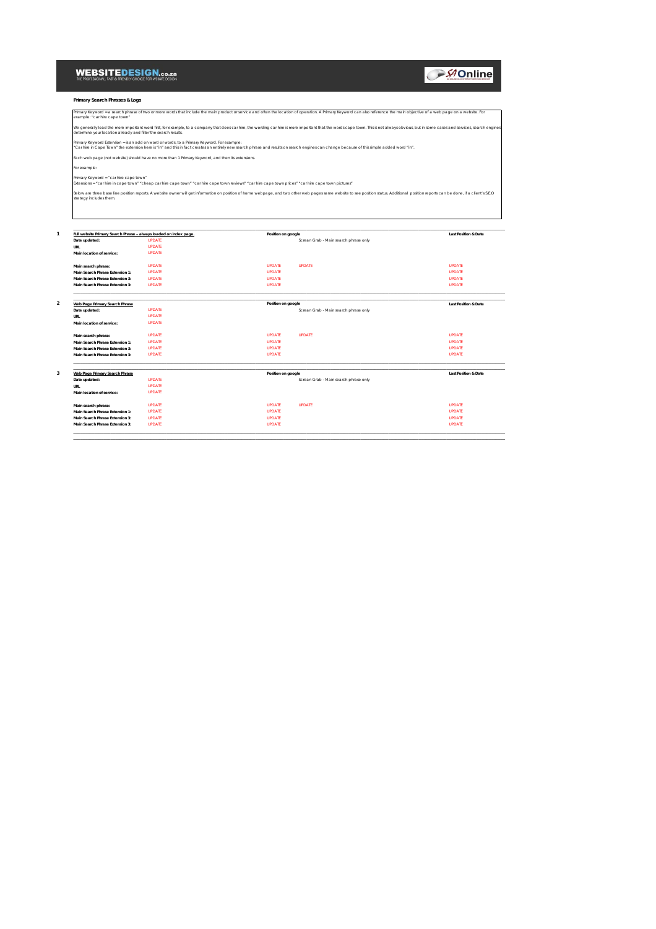### WEBSITEDESIGN.co.za

**AOnline** 

**Primary Search Phrases & Logs**

| Primary Keyword = a search phrase of two or more words that include the main product or service and often the location of operation. A Primary Keyword can also reference the main objective of a web page on a website. For<br>example: "car hire cape town"                                    |                    |                                       |                                 |  |  |  |  |  |
|--------------------------------------------------------------------------------------------------------------------------------------------------------------------------------------------------------------------------------------------------------------------------------------------------|--------------------|---------------------------------------|---------------------------------|--|--|--|--|--|
| We generally load the more important word first, for example, to a company that does car hire, the wording car hire is more important that the words cape town. This is not always obvious, but in some cases and services, se<br>determine your location already and filter the search results. |                    |                                       |                                 |  |  |  |  |  |
| Primary Keyword Extension = is an add on word or words, to a Primary Keyword. For example:<br>"Car hire in Cape Town" the extension here is "in" and this in fact creates an entirely new search phrase and results on search engines can change because of this simple added word "in".         |                    |                                       |                                 |  |  |  |  |  |
| Each web page (not website) should have no more than 1 Primary Keyword, and then its extensions.                                                                                                                                                                                                 |                    |                                       |                                 |  |  |  |  |  |
| For example:                                                                                                                                                                                                                                                                                     |                    |                                       |                                 |  |  |  |  |  |
| Primary Keyword = "car hire cape town"<br>Extensions = "car hire in cape town" "cheap car hire cape town" "car hire cape town reviews" "car hire cape town prices" "car hire cape town pictures"                                                                                                 |                    |                                       |                                 |  |  |  |  |  |
| Below are three base line position reports. A website owner will get information on position of home webpage, and two other web pages same website to see position status. Additional position reports can be done, if a clien<br>strategy includes them.                                        |                    |                                       |                                 |  |  |  |  |  |
| Full website Primary Search Phrase - always loaded on index page.                                                                                                                                                                                                                                | Position on google |                                       | <b>Last Position &amp; Date</b> |  |  |  |  |  |
| <b>UPDATE</b><br>Date updated:                                                                                                                                                                                                                                                                   |                    | Screan Grab - Main search phrase only |                                 |  |  |  |  |  |
| <b>UPDATE</b><br>URL                                                                                                                                                                                                                                                                             |                    |                                       |                                 |  |  |  |  |  |
| <b>UPDATE</b><br>Main location of service:                                                                                                                                                                                                                                                       |                    |                                       |                                 |  |  |  |  |  |
| <b>UPDATE</b><br>Main search phrase:                                                                                                                                                                                                                                                             | <b>LIPDATE</b>     | <b>UPDATE</b>                         | <b>IIPDATE</b>                  |  |  |  |  |  |
| <b>UPDATE</b><br>Main Search Phrase Extension 1:                                                                                                                                                                                                                                                 | <b>UPDATE</b>      |                                       | <b>UPDATE</b>                   |  |  |  |  |  |
| <b>UPDATE</b><br>Main Search Phrase Extension 3:                                                                                                                                                                                                                                                 | <b>UPDATE</b>      |                                       | <b>UPDATE</b>                   |  |  |  |  |  |
| <b>UPDATE</b><br>Main Search Phrase Extension 3:                                                                                                                                                                                                                                                 | <b>UPDATE</b>      |                                       | <b>UPDATE</b>                   |  |  |  |  |  |
| Web Page Primary Search Phrase                                                                                                                                                                                                                                                                   | Position on google |                                       | <b>Last Position &amp; Date</b> |  |  |  |  |  |
| <b>UPDATE</b><br>Date updated:                                                                                                                                                                                                                                                                   |                    | Screan Grab - Main search phrase only |                                 |  |  |  |  |  |
|                                                                                                                                                                                                                                                                                                  |                    |                                       |                                 |  |  |  |  |  |
| <b>UPDATE</b><br>URL                                                                                                                                                                                                                                                                             |                    |                                       |                                 |  |  |  |  |  |
| <b>UPDATE</b><br>Main location of service:                                                                                                                                                                                                                                                       |                    |                                       |                                 |  |  |  |  |  |
| <b>UPDATE</b><br>Main search phrase:                                                                                                                                                                                                                                                             | <b>UPDATE</b>      | <b>UPDATE</b>                         | <b>UPDATE</b>                   |  |  |  |  |  |
| <b>UPDATE</b><br>Main Search Phrase Extension 1:                                                                                                                                                                                                                                                 | <b>UPDATE</b>      |                                       | <b>UPDATE</b>                   |  |  |  |  |  |
| <b>UPDATE</b><br>Main Search Phrase Extension 3:                                                                                                                                                                                                                                                 | <b>UPDATE</b>      |                                       | <b>UPDATE</b>                   |  |  |  |  |  |
| <b>UPDATE</b><br>Main Search Phrase Extension 3:                                                                                                                                                                                                                                                 | <b>UPDATE</b>      |                                       | <b>UPDATE</b>                   |  |  |  |  |  |
|                                                                                                                                                                                                                                                                                                  |                    |                                       |                                 |  |  |  |  |  |
| <b>Web Page Primary Search Phrase</b>                                                                                                                                                                                                                                                            | Position on google |                                       | <b>Last Position &amp; Date</b> |  |  |  |  |  |
| <b>UPDATE</b><br>Date updated:                                                                                                                                                                                                                                                                   |                    | Screan Grab - Main search phrase only |                                 |  |  |  |  |  |
| <b>UPDATE</b><br>LIRI                                                                                                                                                                                                                                                                            |                    |                                       |                                 |  |  |  |  |  |
| <b>UPDATE</b><br>Main location of service:                                                                                                                                                                                                                                                       |                    |                                       |                                 |  |  |  |  |  |
| <b>UPDATE</b><br>Main search phrase:                                                                                                                                                                                                                                                             | <b>UPDATE</b>      | <b>UPDATE</b>                         | <b>UPDATE</b>                   |  |  |  |  |  |
| <b>UPDATE</b><br>Main Search Phrase Extension 1:                                                                                                                                                                                                                                                 | <b>UPDATE</b>      |                                       | <b>UPDATE</b>                   |  |  |  |  |  |
| <b>UPDATE</b><br>Main Search Phrase Extension 3:                                                                                                                                                                                                                                                 | <b>UPDATE</b>      |                                       | <b>UPDATE</b>                   |  |  |  |  |  |

\_\_\_\_\_\_\_\_\_\_\_\_\_\_\_\_\_\_\_\_\_\_\_\_\_\_\_\_\_\_\_\_\_\_\_\_\_\_\_\_\_\_\_\_\_\_\_\_\_\_\_\_\_\_\_\_\_\_\_\_\_\_\_\_\_\_\_\_\_\_\_\_\_\_\_\_\_\_\_\_\_\_\_\_\_\_\_\_\_\_\_\_\_\_\_\_\_\_\_\_\_\_\_\_\_\_\_\_\_\_\_\_\_\_\_\_\_\_\_\_\_\_\_\_\_\_\_\_\_\_\_\_\_\_\_\_\_\_\_\_\_\_\_\_\_\_\_\_\_\_\_\_\_\_\_\_\_\_\_\_\_\_\_\_\_\_\_\_\_\_\_\_\_\_\_\_\_\_\_\_\_\_\_\_\_ \_\_\_\_\_\_\_\_\_\_\_\_\_\_\_\_\_\_\_\_\_\_\_\_\_\_\_\_\_\_\_\_\_\_\_\_\_\_\_\_\_\_\_\_\_\_\_\_\_\_\_\_\_\_\_\_\_\_\_\_\_\_\_\_\_\_\_\_\_\_\_\_\_\_\_\_\_\_\_\_\_\_\_\_\_\_\_\_\_\_\_\_\_\_\_\_\_\_\_\_\_\_\_\_\_\_\_\_\_\_\_\_\_\_\_\_\_\_\_\_\_\_\_\_\_\_\_\_\_\_\_\_\_\_\_\_\_\_\_\_\_\_\_\_\_\_\_\_\_\_\_\_\_\_\_\_\_\_\_\_\_\_\_\_\_\_\_\_\_\_\_\_\_\_\_\_\_\_\_\_\_\_\_\_\_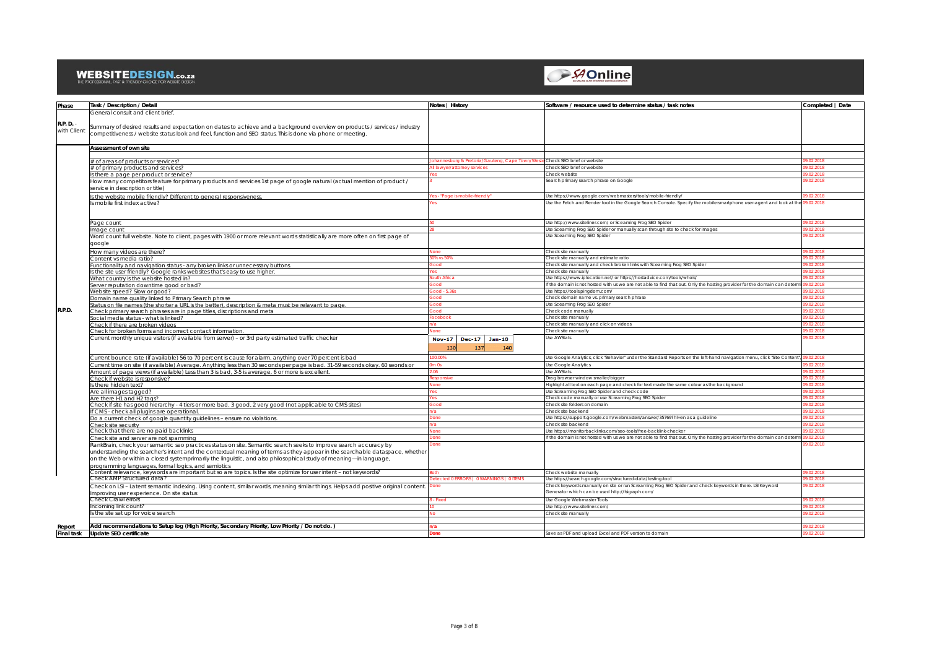### WEBSITEDESIGN.co.za



| Phase                    | Task / Description / Detail                                                                                                                                                                                                               | Notes   History                               | Software / resource used to determine status / task notes                                                                                                     | Completed   Date   |
|--------------------------|-------------------------------------------------------------------------------------------------------------------------------------------------------------------------------------------------------------------------------------------|-----------------------------------------------|---------------------------------------------------------------------------------------------------------------------------------------------------------------|--------------------|
|                          | General consult and client brief                                                                                                                                                                                                          |                                               |                                                                                                                                                               |                    |
| R.P. D. -<br>with Client | Summary of desired results and expectation on dates to achieve and a background overview on products / services / industry<br>competitiveness / website status look and feel, function and SEO status. This is done via phone or meeting. |                                               |                                                                                                                                                               |                    |
|                          | <b>Assessment of own site</b>                                                                                                                                                                                                             |                                               |                                                                                                                                                               |                    |
|                          |                                                                                                                                                                                                                                           | shura & Pretoria/Gautena, Cane I              |                                                                                                                                                               | 2.2018             |
|                          | # of areas of products or services?                                                                                                                                                                                                       | wver/attorney services                        | Check SEO brief or website<br>Check SEO brief or website                                                                                                      | .2018              |
|                          | # of primary products and services?                                                                                                                                                                                                       |                                               | Check website                                                                                                                                                 | 2.2018             |
|                          | Is there a page per product or service?                                                                                                                                                                                                   |                                               | Search primary search phrase on Google                                                                                                                        | .02.2018           |
|                          | How many competitors feature for primary products and services 1st page of google natural (actual mention of product /<br>service in description or title)                                                                                |                                               |                                                                                                                                                               |                    |
|                          | s the website mobile friendly? Different to general responsiveness.                                                                                                                                                                       | es - "Page is mobile-friendly                 | Use https://www.qooqle.com/webmasters/tools/mobile-friendly/                                                                                                  | <b>RFOC CO</b>     |
|                          | s mobile first index active?                                                                                                                                                                                                              |                                               | Use the Fetch and Render tool in the Google Search Console. Specify the mobile:smartphone user-agent and look at the                                          | 9.02.2018          |
|                          | Page count                                                                                                                                                                                                                                |                                               | Use http://www.siteliner.com/ or Sceaming Frog SEO Spider                                                                                                     |                    |
|                          | mage count                                                                                                                                                                                                                                |                                               | Use Sceaming Frog SEO Spider or manually scan through site to check for images                                                                                | 2018               |
|                          | Word count full website. Note to client, pages with 1900 or more relevant words statistically are more often on first page of<br>qoogle                                                                                                   |                                               | Use Sceaming Frog SEO Spider                                                                                                                                  | 12.2018            |
|                          | How many videos are there?                                                                                                                                                                                                                |                                               | Check site manually                                                                                                                                           | 2.2018             |
|                          | Content vs media ratio?                                                                                                                                                                                                                   |                                               | Check site manually and estimate ratio                                                                                                                        | 2018               |
|                          | Functionality and navigation status - any broken links or unnecessary buttons                                                                                                                                                             |                                               | Check site manually and check broken links with Sceaming Frog SEO Spider                                                                                      | 2018               |
|                          | s the site user friendly? Google ranks websites that's easy to use higher.                                                                                                                                                                |                                               | Check site manually                                                                                                                                           |                    |
|                          |                                                                                                                                                                                                                                           | th Africa                                     | Use https://www.iplocation.net/ or https://hostadvice.com/tools/whois/                                                                                        | 2.2018             |
|                          | What country is the website hosted in?                                                                                                                                                                                                    |                                               | If the domain is not hosted with us we are not able to find that out. Only the hosting provider for the domain can de                                         |                    |
|                          | Server reputation downtime good or bad?                                                                                                                                                                                                   | d . 5 36                                      |                                                                                                                                                               | 2018               |
|                          | Website speed? Slow or good?                                                                                                                                                                                                              |                                               | Use https://tools.pingdom.com/<br>Check domain name vs. primary search phrase                                                                                 | 2018               |
|                          | Domain name quality linked to Primary Search phrase                                                                                                                                                                                       |                                               |                                                                                                                                                               | 2.2018             |
| R.P.D.                   | Status on file names (the shorter a URL is the better), description & meta must be relavant to page                                                                                                                                       |                                               | Use Sceaming Frog SEO Spider<br>Check code manually                                                                                                           | 2.2018             |
|                          | Check primary search phrases are in page titles, discriptions and meta                                                                                                                                                                    |                                               | Check site manually                                                                                                                                           |                    |
|                          | Social media status - what is linked?                                                                                                                                                                                                     | ahook                                         |                                                                                                                                                               | 2.2018.<br>12.2018 |
|                          | Check if there are broken videos                                                                                                                                                                                                          |                                               | Check site manually and click on videos                                                                                                                       |                    |
|                          | Check for broken forms and incorrect contact information.                                                                                                                                                                                 |                                               | Check site manually                                                                                                                                           | 02.2018            |
|                          | Current monthly unique visitors (if available from server) - or 3rd party estimated traffic checker                                                                                                                                       | Nov-17   Dec-17   Jan-18<br>130<br>137<br>140 | Use AWStats                                                                                                                                                   | 02.2018            |
|                          | Current bounce rate (if available) 56 to 70 percent is cause for alarm, anything over 70 percent is bad                                                                                                                                   |                                               | Use Google Analytics, click "Behavior" under the Standard Reports on the left-hand navigation menu, click "Site Conte                                         | 2.2018             |
|                          | Current time on site (if available) Average. Anything less than 30 seconds per page is bad. 31-59 seconds okay. 60 seonds or                                                                                                              |                                               | Use Google Analytics                                                                                                                                          | 2018               |
|                          | Amount of page views (if available) Less than 3 is bad, 3-5 is average, 6 or more is excellent.                                                                                                                                           |                                               | <b>Use AWStats</b>                                                                                                                                            | 2.2018             |
|                          | Check if website is responsive?                                                                                                                                                                                                           |                                               | Drag browser window smaller/bigger                                                                                                                            | 2.2018             |
|                          | there hidden text?                                                                                                                                                                                                                        |                                               | Highlight all text on each page and check for text made the same colour as the background                                                                     | .2018              |
|                          | Are all images tagged?                                                                                                                                                                                                                    |                                               | Use Screaming Frog SEO Spider and check code                                                                                                                  | 22018              |
|                          | Are there H1 and H2 tags?                                                                                                                                                                                                                 |                                               | Check code manually or use Screaming Frog SEO Spider                                                                                                          | 22018              |
|                          | Check if site has good hierarchy - 4 tiers or more bad. 3 good, 2 very good (not applicable to CMS sites)                                                                                                                                 |                                               | Check site folders on domain                                                                                                                                  | 12.2018            |
|                          | f CMS - check all plugins are operational.                                                                                                                                                                                                |                                               | Check site backend                                                                                                                                            |                    |
|                          | Do a current check of google guantity guidelines - ensure no violations.                                                                                                                                                                  |                                               | Use https://support.google.com/webmasters/answer/35769?hl=en as a guideline                                                                                   | 2.2018             |
|                          | Check site security                                                                                                                                                                                                                       |                                               | Check site backend                                                                                                                                            |                    |
|                          | Check that there are no paid backlinks                                                                                                                                                                                                    |                                               | The https://monitorbacklinks.com/seo.tools/free.backlink.checker                                                                                              | ו פרחל לו          |
|                          |                                                                                                                                                                                                                                           |                                               | If the domain is not hosted with us we are not able to find that out. Only the hosting provider for the domain can dete                                       |                    |
|                          | Check site and server are not spamming                                                                                                                                                                                                    |                                               |                                                                                                                                                               |                    |
|                          | RankBrain, check your semantic seo practices status on site. Semantic search seeks to improve search accuracy by                                                                                                                          |                                               |                                                                                                                                                               | 02.2018            |
|                          | understanding the searcher's intent and the contextual meaning of terms as they appear in the searchable dataspace, whether                                                                                                               |                                               |                                                                                                                                                               |                    |
|                          | on the Web or within a closed systemprimarily the linguistic, and also philosophical study of meaning—in language,                                                                                                                        |                                               |                                                                                                                                                               |                    |
|                          | programming languages, formal logics, and semiotics                                                                                                                                                                                       |                                               |                                                                                                                                                               |                    |
|                          | Content relevance, keywords are important but so are topics. Is the site optimize for user intent - not keywords?                                                                                                                         |                                               | Check website manually                                                                                                                                        | 12 2018            |
|                          | Check AMP Structured data?                                                                                                                                                                                                                | d 0 ERRORS   0 WARNINGS   0 ITEMS             | Use https://search.google.com/structured-data/testing-tool                                                                                                    | 2018               |
|                          | Check on LSI - Latent semantic indexing. Using content, similar words, meaning similar things. Helps add positive original content. [<br>mproving user experience. On site status                                                         |                                               | Check keywords manually on site or run Screaming Frog SEO Spider and check keywords in there. LSI Keyword<br>Generator which can be used http://lsigraph.com/ | .02.2018           |
|                          | Check Crawl errors                                                                                                                                                                                                                        |                                               | Use Google Webmaster Tools                                                                                                                                    | 22018              |
|                          | ncomina link count?                                                                                                                                                                                                                       |                                               | Use http://www.siteliner.com/                                                                                                                                 | 22018              |
|                          | Is the site set up for voice search                                                                                                                                                                                                       |                                               |                                                                                                                                                               | 02.2018            |
|                          |                                                                                                                                                                                                                                           |                                               | Check site manually                                                                                                                                           |                    |
|                          |                                                                                                                                                                                                                                           |                                               |                                                                                                                                                               |                    |
| Report                   | Add recommendations to Setup log (High Priority, Secondary Priority, Low Priority / Do not do.)                                                                                                                                           |                                               |                                                                                                                                                               | 2018               |
|                          | Final task Update SEO certificate                                                                                                                                                                                                         |                                               | Save as PDF and upload Excel and PDF version to domain                                                                                                        | 2018               |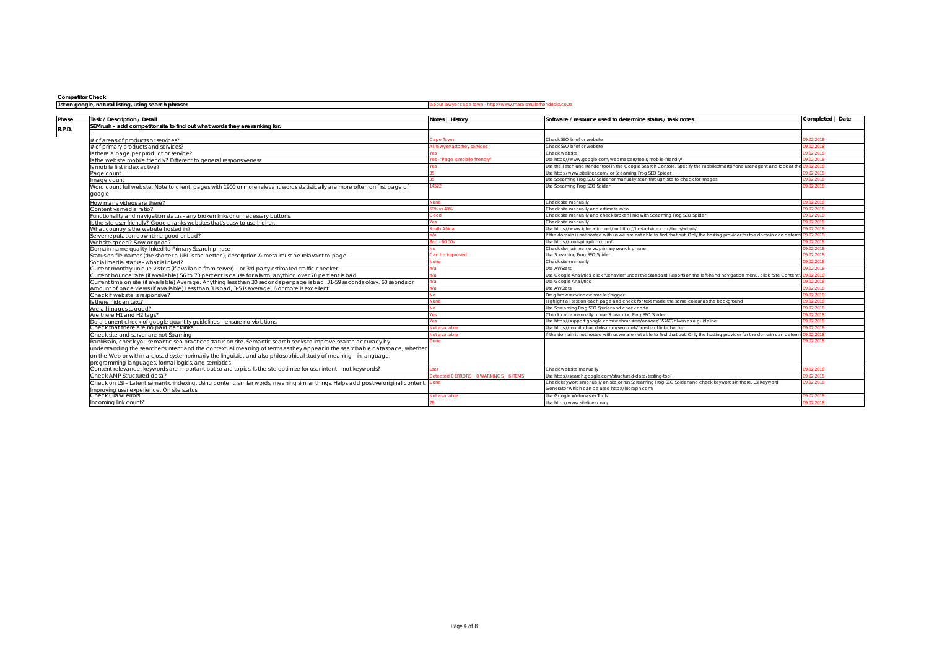| <b>COMPETION</b> CHECK |  |  |  |
|------------------------|--|--|--|
|                        |  |  |  |
|                        |  |  |  |

### **Competitor Check**

#### 1abour lawyer cape town - http://www.maraismullerhendricks.co.za

| Task / Description / Detail                                                                                                              | Notes   History                        | Software / resource used to determine status / task notes                                                             | Completed   Date |
|------------------------------------------------------------------------------------------------------------------------------------------|----------------------------------------|-----------------------------------------------------------------------------------------------------------------------|------------------|
| SEMrush - add competitor site to find out what words they are ranking for.                                                               |                                        |                                                                                                                       |                  |
|                                                                                                                                          |                                        |                                                                                                                       |                  |
| fof areas of products or services?                                                                                                       |                                        | Check SEO brief or website                                                                                            | 02.2018          |
| t of primary products and services?                                                                                                      | lawver/attorney services               | Check SEO brief or website                                                                                            | 2.2018           |
| there a page per product or service?                                                                                                     |                                        | Check website                                                                                                         | )2.2018          |
| ; the website mobile friendly? Different to general responsiveness                                                                       | es - "Page is mobile-friendly          | Use https://www.qooqle.com/webmasters/tools/mobile-friendly/                                                          | 02.2018          |
| s mobile first index active?                                                                                                             |                                        | Use the Fetch and Render tool in the Google Search Console. Specify the mobile:smartphone user-agent and look at      | 2.2018           |
| age count                                                                                                                                |                                        | Jse http://www.siteliner.com/ or Sceaming Frog SEO Spider                                                             | 02.2018          |
| nage count                                                                                                                               |                                        | Use Sceaming Frog SEO Spider or manually scan through site to check for images                                        | 02.2018          |
| Nord count full website. Note to client, pages with 1900 or more relevant words statistically are more often on first page of<br>google  |                                        | Jse Sceaming Frog SEO Spider                                                                                          | 02.2018          |
| ow many videos are there?                                                                                                                |                                        | `.heck site manually                                                                                                  | )2.2018          |
| ontent vs media ratio?                                                                                                                   | % vs 40%                               | Check site manually and estimate ratio                                                                                | 12 2018 -        |
| unctionality and navigation status - any broken links or unnecessary buttons                                                             |                                        | Check site manually and check broken links with Sceaming Frog SEO Spider                                              | 2.2018           |
| the site user friendly? Google ranks websites that's easy to use higher.                                                                 |                                        | Check site manually                                                                                                   | 02.2018          |
| What country is the website hosted in?                                                                                                   | auth Africa                            | Use https://www.iplocation.net/ or https://hostadvice.com/tools/whois/                                                | 02.2018          |
| erver reputation downtime good or bad?                                                                                                   |                                        | f the domain is not hosted with us we are not able to find that out. Only the hosting provider for the domain can de  | 2.2018           |
| Website speed? Slow or apod?                                                                                                             | d - 60.00s                             | Use https://tools.pingdom.com/                                                                                        | )2.2018          |
| Iomain name quality linked to Primary Search phrase                                                                                      |                                        | Check domain name vs. primary search phrase                                                                           | )2.2018          |
| Status on file names (the shorter a URL is the better), description & meta must be relavant to page                                      | an be improved                         | Jse Sceaming Frog SEO Spider                                                                                          | 02.2018          |
| Social media status - what is linked?                                                                                                    |                                        | Check site manually                                                                                                   | 02.2018          |
| urrent monthly unique visitors (if available from server) - or 3rd party estimated traffic checker'                                      |                                        | <b>Jse AWStats</b>                                                                                                    | 2 2018.          |
| urrent bounce rate (if available) 56 to 70 percent is cause for alarm, anything over 70 percent is bad.                                  |                                        | Use Google Analytics, click "Behavior" under the Standard Reports on the left-hand navigation menu, click "Site Conte | )2.2018          |
| urrent time on site (if available) Average, Anything less than 30 seconds per page is bad, 31-59 seconds okay, 60 seonds or              |                                        | <b>Jse Google Analytics</b>                                                                                           | 02.2018          |
| mount of page views (if available) Less than 3 is bad, 3-5 is average, 6 or more is excellent.                                           |                                        | <b>Ise AWStats</b>                                                                                                    | 02.2018          |
| Check if website is responsive?                                                                                                          |                                        | Drag browser window smaller/bigger                                                                                    | 02.2018          |
| there hidden text?                                                                                                                       |                                        | lighlight all text on each page and check for text made the same colour as the background                             | )2.2018          |
| ve all images tagged?                                                                                                                    |                                        | Use Screaming Frog SEO Spider and check code                                                                          | 02.2018          |
| Are there H1 and H2 tags?                                                                                                                |                                        | Check code manually or use Screaming Frog SEO Spider                                                                  | 02.2018          |
| Do a current check of google quantity quidelines - ensure no violations                                                                  |                                        | Jse https://support.qooqle.com/webmasters/answer/35769?hl=en as a quideline                                           | .02.2018         |
| heck that there are no paid backlinks.                                                                                                   | Not available                          | Use https://monitorbacklinks.com/seo-tools/free-backlink-checker                                                      | 02.2018          |
| Check site and server are not Spaming                                                                                                    | lot available                          | f the domain is not hosted with us we are not able to find that out. Only the hosting provider for the domain can de  | 2.2018           |
| RankBrain, check you semantic seo practices status on site. Semantic search seeks to improve search accuracy by                          | )one                                   |                                                                                                                       | 9.02.2018        |
| understanding the searcher's intent and the contextual meaning of terms as they appear in the searchable dataspace, whether              |                                        |                                                                                                                       |                  |
| on the Web or within a closed systemprimarily the linguistic, and also philosophical study of meaning—in language,                       |                                        |                                                                                                                       |                  |
| programming languages, formal logics, and semiotics                                                                                      |                                        |                                                                                                                       |                  |
| Content relevance, keywords are important but so are topics, is the site optimize for user intent – not keywords?                        |                                        | Check website manually                                                                                                | 02.2018          |
| ?heck AMP Structured data                                                                                                                | tected 0 ERRORS   0 WARNINGS   6 ITEM: | Use https://search.google.com/structured-data/testing-tool                                                            | 02.2018          |
| Check on LSI – Latent semantic indexing. Using content, similar words, meaning similar things. Helps add positive original content. Done |                                        | Check keywords manually on site or run Screaming Frog SEO Spider and check keywords in there. LSI Keyword             | 9.02.2018        |
| mproving user experience. On site status                                                                                                 |                                        | Generator which can be used http://lsigraph.com/                                                                      |                  |
| heck Crawl errors                                                                                                                        | Not available                          | Use Google Webmaster Tools                                                                                            | 02.2018          |
| Incomina link count?                                                                                                                     |                                        | Use http://www.siteliner.com/                                                                                         |                  |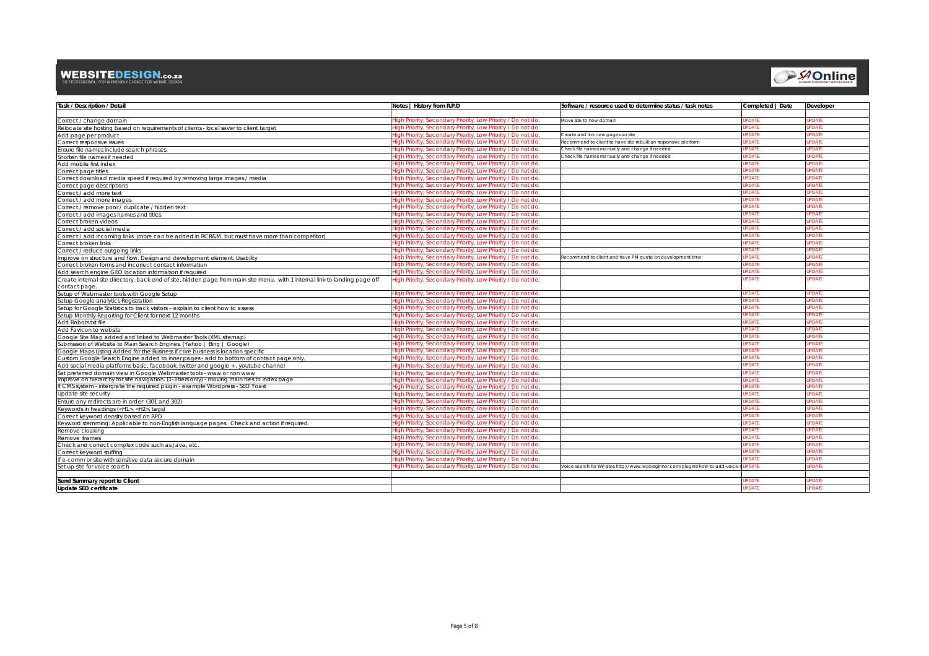### **WEBSITEDESIGN.co.za**<br>THE PROFESSIONAL FAST & FRIENDLY CHOCE FOR WEBSITE DESIGN





| <b>Task / Description / Detail</b>                                                                                          | Notes   History from R.P.D                                                                                                  | Software / resource used to determine status / task notes                     | Completed   Date             | <b>Developer</b> |
|-----------------------------------------------------------------------------------------------------------------------------|-----------------------------------------------------------------------------------------------------------------------------|-------------------------------------------------------------------------------|------------------------------|------------------|
|                                                                                                                             |                                                                                                                             |                                                                               |                              | <b>PDATE</b>     |
| Correct / change domain                                                                                                     | ligh Priority, Secondary Priority, Low Priority / Do not do                                                                 | Move site to new domain                                                       | <b>PDATE</b><br><b>PDATE</b> | PDATE            |
| Relocate site hosting based on requirements of clients - local sever to client target                                       | ligh Priority, Secondary Priority, Low Priority / Do not do.<br>High Priority, Secondary Priority, Low Priority / Do not do | Create and link new pages on site                                             | <b>IPDATE</b>                | <b>PDATE</b>     |
| Add page per product                                                                                                        | High Priority, Secondary Priority, Low Priority / Do not do                                                                 | Recommend to client to have site rebuilt on responsive platform               | <b>PDATE</b>                 | PDATE            |
| Correct responsive issues<br>Ensure file names include search phrases.                                                      | ligh Priority, Secondary Priority, Low Priority / Do not do.                                                                | Check file names manually and change if needed                                | <b>PDATE</b>                 | PDATE            |
| Shorten file names if needed                                                                                                | ligh Priority, Secondary Priority, Low Priority / Do not do.                                                                | Check file names manually and change if needed                                | <b>PDATE</b>                 | PDATE            |
| Add mobile first index                                                                                                      | High Priority, Secondary Priority, Low Priority / Do not do.                                                                |                                                                               | <b>JPDATE</b>                | <b>PDATE</b>     |
| Correct page titles                                                                                                         | ligh Priority, Secondary Priority, Low Priority / Do not do                                                                 |                                                                               | PDAT                         | PDAT             |
| Correct download media speed if required by removing large images / media                                                   | ligh Priority, Secondary Priority, Low Priority / Do not do.                                                                |                                                                               | <b>PDATE</b>                 | PDATE            |
| Correct page descriptions                                                                                                   | ligh Priority, Secondary Priority, Low Priority / Do not do                                                                 |                                                                               | <b>IPDATE</b>                | PDATE            |
| Correct / add more text                                                                                                     | High Priority, Secondary Priority, Low Priority / Do not do.                                                                |                                                                               | <b>JPDATE</b>                | <b>PDATE</b>     |
| Correct / add more images                                                                                                   | ligh Priority, Secondary Priority, Low Priority / Do not do.                                                                |                                                                               | <b>PDATE</b>                 | <b>PDATE</b>     |
| Correct / remove poor / duplicate / hidden text                                                                             | ligh Priority, Secondary Priority, Low Priority / Do not do.                                                                |                                                                               | <b>IPDATE</b>                | PDATE            |
| Correct / add images names and titles                                                                                       | ligh Priority, Secondary Priority, Low Priority / Do not do.                                                                |                                                                               | <b>IPDATE</b>                | PDATE            |
| Correct broken videos                                                                                                       | High Priority, Secondary Priority, Low Priority / Do not do                                                                 |                                                                               | <b>JPDATE</b>                | PDATE            |
| Correct / add social media                                                                                                  | ligh Priority, Secondary Priority, Low Priority / Do not do.                                                                |                                                                               | <b>PDATE</b>                 | PDATE            |
| Correct / add incoming links (more can be added in RCR&M, but must have more than competitor)                               | ligh Priority, Secondary Priority, Low Priority / Do not do                                                                 |                                                                               | <b>IPDATE</b>                | PDATE            |
| Correct broken links                                                                                                        | ligh Priority, Secondary Priority, Low Priority / Do not do.                                                                |                                                                               | <b>IPDATE</b>                | <b>PDATE</b>     |
| Correct / reduce outgoing links                                                                                             | ligh Priority, Secondary Priority, Low Priority / Do not do                                                                 |                                                                               | <b>PDATE</b>                 | PDATE            |
| Improve on structure and flow. Design and development element. Usability                                                    | ligh Priority, Secondary Priority, Low Priority / Do not do.                                                                | Recommend to client and have PM quote on development time                     | <b>PDATE</b>                 | <b>DATE</b>      |
| Correct broken forms and incorrect contact information                                                                      | ligh Priority, Secondary Priority, Low Priority / Do not do.                                                                |                                                                               | <b>IPDATE</b>                | PDATE            |
| Add search engine GEO location information if required                                                                      | High Priority, Secondary Priority, Low Priority / Do not do.                                                                |                                                                               | <b>IPDATE</b>                | <b>PDATE</b>     |
| Create internal site directory, back end of site, hidden page from main site menu, with 1 internal link to landing page off | High Priority, Secondary Priority, Low Priority / Do not do.                                                                |                                                                               | <b>IPDATE</b>                | PDATE            |
| contact page.                                                                                                               |                                                                                                                             |                                                                               |                              |                  |
| Setup of Webmaster tools with Google Setup                                                                                  | ligh Priority, Secondary Priority, Low Priority / Do not do                                                                 |                                                                               | <b>IPDATE</b>                | PDATE            |
| Setup Google analytics Registration                                                                                         | liah Priority. Secondary Priority. Low Priority / Do not do.                                                                |                                                                               | <b>IPDATE</b>                | <b>PDATE</b>     |
| Setup for Google Statistics to track visitors - explain to client how to assess                                             | ligh Priority, Secondary Priority, Low Priority / Do not do                                                                 |                                                                               | <b>PDATE</b>                 | PDATE            |
| Setup Monthly Reporting for Client for next 12 months                                                                       | ligh Priority, Secondary Priority, Low Priority / Do not do                                                                 |                                                                               | <b>PDATE</b>                 | PDATE            |
| Add Robots.txt file                                                                                                         | ligh Priority, Secondary Priority, Low Priority / Do not do                                                                 |                                                                               | <b>IPDATE</b>                | <b>PDATE</b>     |
| Add Favicon to website                                                                                                      | liah Priority. Secondary Priority. Low Priority / Do not do.                                                                |                                                                               | <b>JPDATE</b>                | PDATE            |
| Google Site Map added and linked to Webmaster Tools (XML sitemap)                                                           | ligh Priority, Secondary Priority, Low Priority / Do not do.                                                                |                                                                               | <b>PDATE</b>                 | <b>PDATE</b>     |
| Submission of Website to Main Search Engines. (Yahoo   Bing   Google)                                                       | liah Priority. Secondary Priority. Low Priority / Do not do.                                                                |                                                                               | <b>IPDATE</b>                | PDATE            |
| Google Maps Listing Added for the Business if core business is location specific                                            | liah Priority. Secondary Priority. Low Priority / Do not do.                                                                |                                                                               | <b>JPDATE</b>                | PDATE            |
| Custom Google Search Engine added to inner pages - add to bottom of contact page only.                                      | ligh Priority, Secondary Priority, Low Priority / Do not do.                                                                |                                                                               | <b>PDATE</b>                 | DATE             |
| Add social media platforms basic, facebook, twitter and google +, youtube channel                                           | ligh Priority, Secondary Priority, Low Priority / Do not do.                                                                |                                                                               | <b>PDATE</b>                 | PDATE            |
| Set preferred domain view in Google Webmaster tools - www or non www                                                        | ligh Priority, Secondary Priority, Low Priority / Do not do.                                                                |                                                                               | <b>IPDATE</b>                | <b>PDATE</b>     |
| Improve on hierarchy for site navigation. (1-3 tiers only) - moving main files to index page                                | ligh Priority, Secondary Priority, Low Priority / Do not do                                                                 |                                                                               | <b>IPDATE</b>                | <b>PDATE</b>     |
| If CMS system - intergrate the required plugin - example Wordpress - SEO Yoast                                              | ligh Priority, Secondary Priority, Low Priority / Do not do.                                                                |                                                                               | <b>JPDATE</b>                | PDATE            |
| Update site security                                                                                                        | ligh Priority, Secondary Priority, Low Priority / Do not do.                                                                |                                                                               | <b>PDATE</b>                 | PDATE            |
| Ensure any redirects are in order (301 and 302)                                                                             | ligh Priority, Secondary Priority, Low Priority / Do not do                                                                 |                                                                               | <b>PDATE</b>                 | PDATE            |
| Keywords in headings ( <h1>, <h2>, tags)</h2></h1>                                                                          | High Priority, Secondary Priority, Low Priority / Do not do                                                                 |                                                                               | <b>JPDATE</b>                | PDATE            |
| Correct keyword density based on RPD                                                                                        | ligh Priority, Secondary Priority, Low Priority / Do not do.                                                                |                                                                               | <b>PDATE</b>                 | PDATE            |
| Keyword stemming: Applicable to non-English language pages. Check and action if required.                                   | ligh Priority, Secondary Priority, Low Priority / Do not do                                                                 |                                                                               | <b>PDATE</b>                 | PDATE            |
| Remove cloaking                                                                                                             | ligh Priority, Secondary Priority, Low Priority / Do not do                                                                 |                                                                               | <b>JPDATE</b>                | <b>PDATE</b>     |
| Remove iframes                                                                                                              | High Priority, Secondary Priority, Low Priority / Do not do                                                                 |                                                                               | <b>JPDATE</b>                | <b>PDATE</b>     |
| Check and correct complex code such as Java, etc.                                                                           | ligh Priority, Secondary Priority, Low Priority / Do not do.                                                                |                                                                               | <b>PDATE</b>                 | PDATE            |
| Correct keyword stuffing                                                                                                    | ligh Priority, Secondary Priority, Low Priority / Do not do.                                                                |                                                                               | <b>PDATE</b>                 | <b>DATE</b>      |
| If e-comm or site with sensitive data secure domain                                                                         | ligh Priority, Secondary Priority, Low Priority / Do not do                                                                 |                                                                               | <b>PDATE</b>                 | PDATE            |
| Set up site for voice search                                                                                                | ligh Priority, Secondary Priority, Low Priority / Do not do.                                                                | Voice search for WP sites http://www.wpbeginner.com/plugins/how-to-add-voice- | <b>PDATE</b>                 | <b>PDATE</b>     |
|                                                                                                                             |                                                                                                                             |                                                                               |                              |                  |
| Send Summary report to Client                                                                                               |                                                                                                                             |                                                                               | <b>PDATE</b>                 | PDATE            |
| Update SEO certificate                                                                                                      |                                                                                                                             |                                                                               | <b>PDATE</b>                 | PDATE            |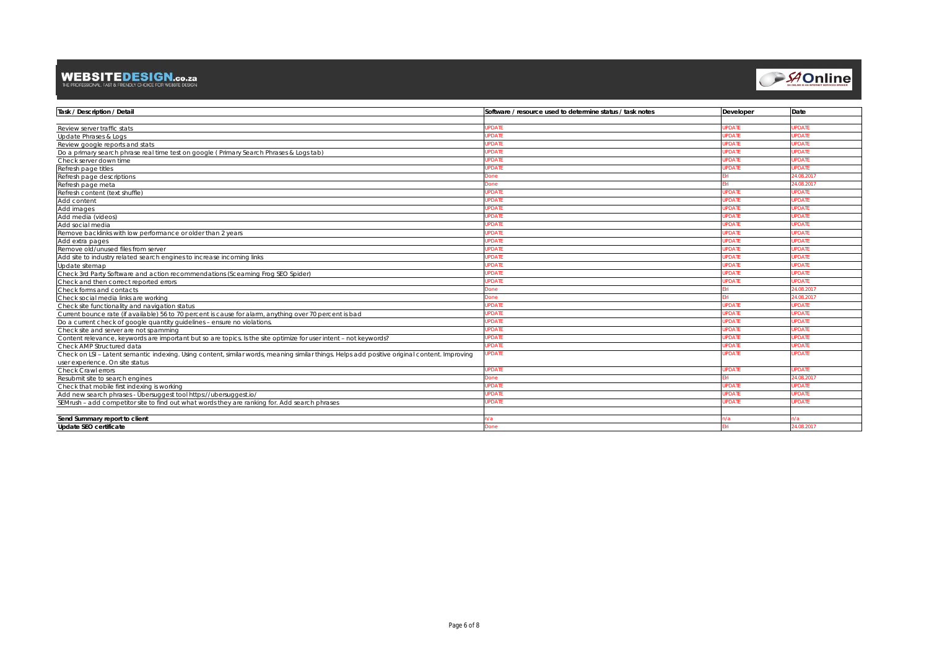## **WEBSITEDESIGN.co.za**<br>THE PROFESSIONAL, FAST & FRIENDLY CHOICE FOR WEBSITE DESIGN



| Task / Description / Detail                                                                                                                   | Software / resource used to determine status / task notes | <b>Developer</b> | Date          |
|-----------------------------------------------------------------------------------------------------------------------------------------------|-----------------------------------------------------------|------------------|---------------|
|                                                                                                                                               |                                                           |                  |               |
| Review server traffic stats                                                                                                                   | <b>JPDATE</b>                                             | <b>UPDATE</b>    | PDATE         |
| Update Phrases & Logs                                                                                                                         | <b>JPDATE</b>                                             | <b>JPDATE</b>    | <b>PDATE</b>  |
| Review google reports and stats                                                                                                               | <b>JPDATE</b>                                             | <b>JPDATE</b>    | <b>PDATE</b>  |
| Do a primary search phrase real time test on google (Primary Search Phrases & Logs tab)                                                       | <b>JPDATE</b>                                             | UPDATE           | PDATE         |
| Check server down time                                                                                                                        | <b>JPDATE</b>                                             | <b>JPDATE</b>    | PDATE         |
| Refresh page titles                                                                                                                           | <b>JPDATE</b>                                             | <b>JPDATE</b>    | <b>PDATE</b>  |
| Refresh page descriptions                                                                                                                     | Done                                                      |                  | 24.08.2017    |
| Refresh page meta                                                                                                                             | Done                                                      |                  | 24.08.2017    |
| Refresh content (text shuffle)                                                                                                                | <b>JPDATE</b>                                             | <b>JPDATE</b>    | PDATE         |
| Add content                                                                                                                                   | <b>JPDATE</b>                                             | <b>JPDATE</b>    | <b>IPDATE</b> |
| Add images                                                                                                                                    | <b>JPDATE</b>                                             | <b>JPDATE</b>    | <b>PDATE</b>  |
| Add media (videos)                                                                                                                            | <b>JPDATE</b>                                             | <b>JPDATE</b>    | <b>PDATE</b>  |
| Add social media                                                                                                                              | <b>JPDATE</b>                                             | <b>JPDATE</b>    | PDATE         |
| Remove backlinks with low performance or older than 2 years                                                                                   | <b>JPDATE</b>                                             | <b>UPDATE</b>    | PDATE         |
| Add extra pages                                                                                                                               | <b>JPDATE</b>                                             | <b>UPDATE</b>    | PDATE         |
| Remove old/unused files from server                                                                                                           | <b>JPDATE</b>                                             | <b>JPDATE</b>    | <b>PDATE</b>  |
| Add site to industry related search engines to increase incoming links                                                                        | <b>JPDATE</b>                                             | <b>UPDATE</b>    | <b>PDATE</b>  |
| Update sitemap                                                                                                                                | <b>JPDATE</b>                                             | <b>JPDATE</b>    | PDATE         |
| Check 3rd Party Software and action recommendations (Sceaming Frog SEO Spider)                                                                | <b>JPDATE</b>                                             | <b>JPDATE</b>    | PDATE         |
| Check and then correct reported errors                                                                                                        | <b>JPDATE</b>                                             | <b>JPDATE</b>    | <b>JPDATE</b> |
| Check forms and contacts                                                                                                                      | Done                                                      |                  | 4.08.2017     |
| Check social media links are working                                                                                                          | Done                                                      |                  | 24.08.2017    |
| Check site functionality and navigation status                                                                                                | <b>JPDATE</b>                                             | <b>UPDATE</b>    | <b>PDATE</b>  |
| Current bounce rate (if available) 56 to 70 percent is cause for alarm, anything over 70 percent is bad                                       | <b>JPDATE</b>                                             | <b>JPDATE</b>    | <b>PDATE</b>  |
| Do a current check of google quantity quidelines - ensure no violations.                                                                      | <b>IPDATE</b>                                             | <b>JPDATE</b>    | <b>PDATE</b>  |
| Check site and server are not spamming                                                                                                        | <b>JPDATE</b>                                             | <b>JPDATE</b>    | PDATE         |
| Content relevance, keywords are important but so are topics. Is the site optimize for user intent - not keywords?                             | <b>JPDATE</b>                                             | <b>JPDATE</b>    | <b>PDATE</b>  |
| Check AMP Structured data                                                                                                                     | <b>JPDATE</b>                                             | <b>JPDATE</b>    | PDATE         |
| Check on LSI - Latent semantic indexing. Using content, similar words, meaning similar things. Helps add positive original content. Improving | <b>JPDATE</b>                                             | <b>UPDATE</b>    | <b>PDATE</b>  |
| user experience. On site status                                                                                                               |                                                           |                  |               |
| Check Crawl errors                                                                                                                            | <b>JPDATE</b>                                             | <b>UPDATE</b>    | <b>PDATE</b>  |
| Resubmit site to search engines                                                                                                               | Done                                                      |                  | 4.08.2017     |
| Check that mobile first indexing is working                                                                                                   | <b>IPDATE</b>                                             | <b>JPDATE</b>    | <b>PDATE</b>  |
| Add new search phrases - Übersuggest tool https://ubersuggest.io/                                                                             | <b>JPDATE</b>                                             | <b>JPDATE</b>    | <b>JPDATE</b> |
| SEMrush - add competitor site to find out what words they are ranking for. Add search phrases                                                 | <b>JPDATE</b>                                             | <b>JPDATE</b>    | PDATE         |
|                                                                                                                                               |                                                           |                  |               |
| Send Summary report to client                                                                                                                 | n/a                                                       | n/a              | ı/a           |
| Update SEO certificate                                                                                                                        | Done                                                      |                  | 24.08.2017    |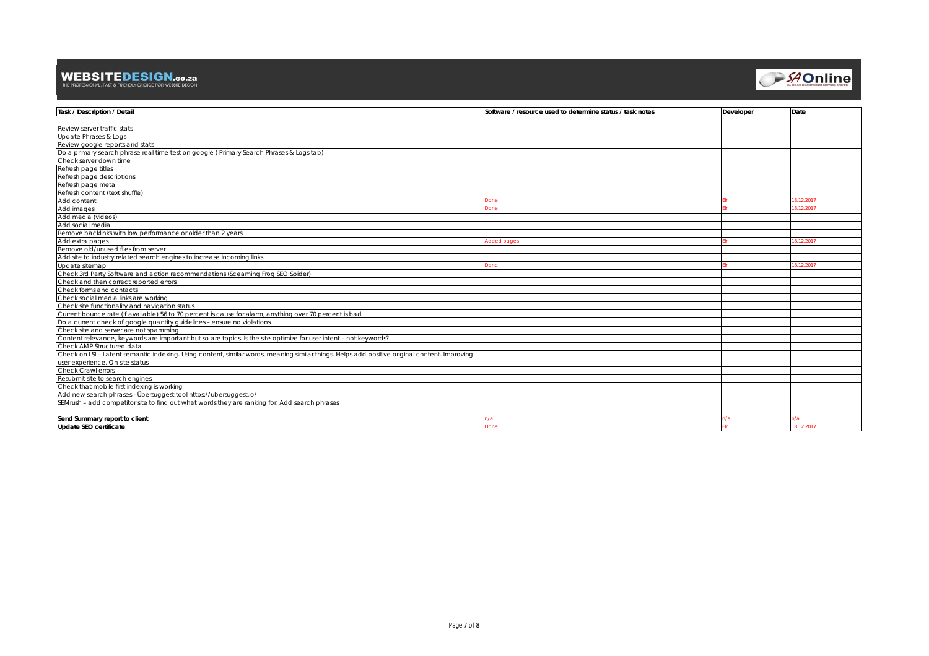## **WEBSITEDESIGN.co.za**<br>THE PROFESSIONAL, FAST & FRIENDLY CHOICE FOR WEBSITE DESIGN



| <b>Task / Description / Detail</b>                                                                                                            | Software / resource used to determine status / task notes | <b>Developer</b> | Date       |
|-----------------------------------------------------------------------------------------------------------------------------------------------|-----------------------------------------------------------|------------------|------------|
|                                                                                                                                               |                                                           |                  |            |
| Review server traffic stats                                                                                                                   |                                                           |                  |            |
| Update Phrases & Logs                                                                                                                         |                                                           |                  |            |
| Review google reports and stats                                                                                                               |                                                           |                  |            |
| Do a primary search phrase real time test on google (Primary Search Phrases & Logs tab)                                                       |                                                           |                  |            |
| Check server down time                                                                                                                        |                                                           |                  |            |
| Refresh page titles                                                                                                                           |                                                           |                  |            |
| Refresh page descriptions                                                                                                                     |                                                           |                  |            |
| Refresh page meta                                                                                                                             |                                                           |                  |            |
| Refresh content (text shuffle)                                                                                                                |                                                           |                  |            |
| Add content                                                                                                                                   | Done                                                      |                  | 18.12.2017 |
| Add images                                                                                                                                    | Done                                                      |                  | 18.12.2017 |
| Add media (videos)                                                                                                                            |                                                           |                  |            |
| Add social media                                                                                                                              |                                                           |                  |            |
| Remove backlinks with low performance or older than 2 years                                                                                   |                                                           |                  |            |
| Add extra pages                                                                                                                               | Added pages                                               |                  | 18.12.2017 |
| Remove old/unused files from server                                                                                                           |                                                           |                  |            |
| Add site to industry related search engines to increase incoming links                                                                        |                                                           |                  |            |
| Update sitemap                                                                                                                                | Done                                                      |                  | 8.12.2017  |
| Check 3rd Party Software and action recommendations (Sceaming Frog SEO Spider)                                                                |                                                           |                  |            |
| Check and then correct reported errors                                                                                                        |                                                           |                  |            |
| Check forms and contacts                                                                                                                      |                                                           |                  |            |
| Check social media links are working                                                                                                          |                                                           |                  |            |
| Check site functionality and navigation status                                                                                                |                                                           |                  |            |
| Current bounce rate (if available) 56 to 70 percent is cause for alarm, anything over 70 percent is bad                                       |                                                           |                  |            |
| Do a current check of google quantity guidelines - ensure no violations.                                                                      |                                                           |                  |            |
| Check site and server are not spamming                                                                                                        |                                                           |                  |            |
| Content relevance, keywords are important but so are topics. Is the site optimize for user intent - not keywords?                             |                                                           |                  |            |
| Check AMP Structured data                                                                                                                     |                                                           |                  |            |
| Check on LSI - Latent semantic indexing. Using content, similar words, meaning similar things. Helps add positive original content. Improving |                                                           |                  |            |
| user experience. On site status                                                                                                               |                                                           |                  |            |
| Check Crawl errors                                                                                                                            |                                                           |                  |            |
| Resubmit site to search engines                                                                                                               |                                                           |                  |            |
| Check that mobile first indexing is working                                                                                                   |                                                           |                  |            |
| Add new search phrases - Übersuggest tool https://ubersuggest.io/                                                                             |                                                           |                  |            |
| SEMrush - add competitor site to find out what words they are ranking for. Add search phrases                                                 |                                                           |                  |            |
|                                                                                                                                               |                                                           |                  |            |
| Send Summary report to client                                                                                                                 | n/a                                                       | n/a              | n/a        |
| Update SEO certificate                                                                                                                        | Done                                                      |                  | 18.12.2017 |